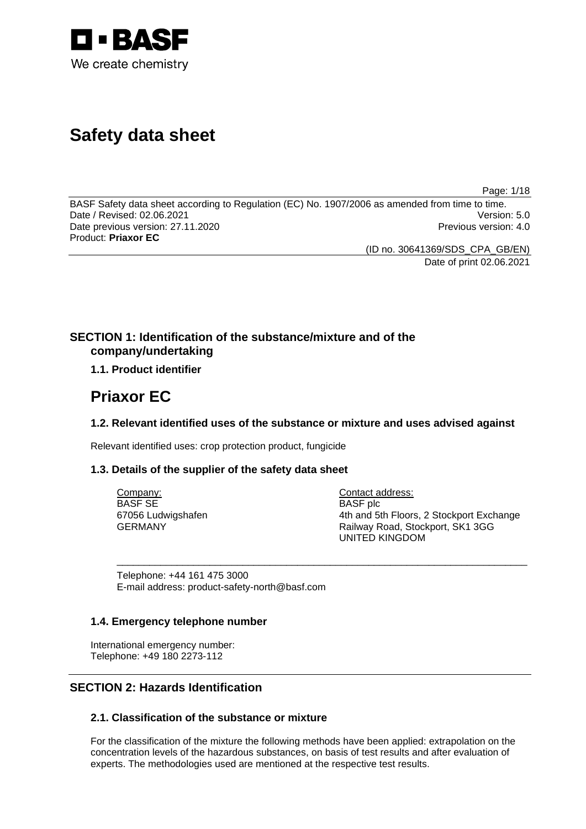

# **Safety data sheet**

Page: 1/18

BASF Safety data sheet according to Regulation (EC) No. 1907/2006 as amended from time to time. Date / Revised: 02.06.2021 Version: 5.0 Date previous version: 27.11.2020 **Previous version: 4.0** Previous version: 4.0 Product: **Priaxor EC** 

(ID no. 30641369/SDS\_CPA\_GB/EN)

Date of print 02.06.2021

### **SECTION 1: Identification of the substance/mixture and of the company/undertaking**

### **1.1. Product identifier**

## **Priaxor EC**

### **1.2. Relevant identified uses of the substance or mixture and uses advised against**

\_\_\_\_\_\_\_\_\_\_\_\_\_\_\_\_\_\_\_\_\_\_\_\_\_\_\_\_\_\_\_\_\_\_\_\_\_\_\_\_\_\_\_\_\_\_\_\_\_\_\_\_\_\_\_\_\_\_\_\_\_\_\_\_\_\_\_\_\_\_\_\_\_\_\_

Relevant identified uses: crop protection product, fungicide

### **1.3. Details of the supplier of the safety data sheet**

Company: BASF SE 67056 Ludwigshafen GERMANY

Contact address: BASF plc 4th and 5th Floors, 2 Stockport Exchange Railway Road, Stockport, SK1 3GG UNITED KINGDOM

Telephone: +44 161 475 3000 E-mail address: product-safety-north@basf.com

### **1.4. Emergency telephone number**

International emergency number: Telephone: +49 180 2273-112

### **SECTION 2: Hazards Identification**

### **2.1. Classification of the substance or mixture**

For the classification of the mixture the following methods have been applied: extrapolation on the concentration levels of the hazardous substances, on basis of test results and after evaluation of experts. The methodologies used are mentioned at the respective test results.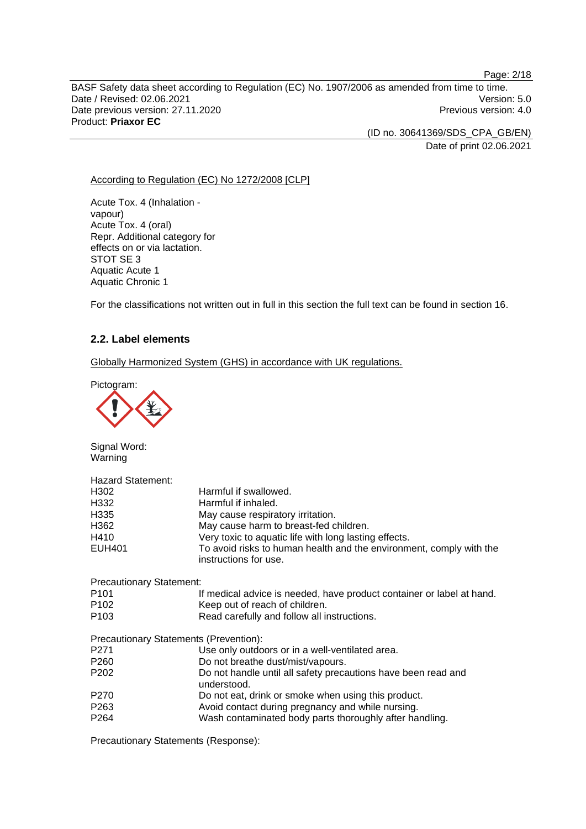BASF Safety data sheet according to Regulation (EC) No. 1907/2006 as amended from time to time. Date / Revised: 02.06.2021 Version: 5.0 Date previous version: 27.11.2020 **Previous version: 4.0** Previous version: 4.0 Product: **Priaxor EC** 

(ID no. 30641369/SDS\_CPA\_GB/EN)

Date of print 02.06.2021

### According to Regulation (EC) No 1272/2008 [CLP]

Acute Tox. 4 (Inhalation vapour) Acute Tox. 4 (oral) Repr. Additional category for effects on or via lactation. STOT SE 3 Aquatic Acute 1 Aquatic Chronic 1

For the classifications not written out in full in this section the full text can be found in section 16.

### **2.2. Label elements**

Globally Harmonized System (GHS) in accordance with UK regulations.

Pictogram:



Signal Word: Warning

| <b>Hazard Statement:</b>               |                                                                                              |  |  |
|----------------------------------------|----------------------------------------------------------------------------------------------|--|--|
| H <sub>302</sub>                       | Harmful if swallowed.                                                                        |  |  |
| H332                                   | Harmful if inhaled.                                                                          |  |  |
| H335                                   | May cause respiratory irritation.                                                            |  |  |
| H362                                   | May cause harm to breast-fed children.                                                       |  |  |
| H410                                   | Very toxic to aquatic life with long lasting effects.                                        |  |  |
| <b>EUH401</b>                          | To avoid risks to human health and the environment, comply with the<br>instructions for use. |  |  |
| <b>Precautionary Statement:</b>        |                                                                                              |  |  |
| P <sub>101</sub>                       | If medical advice is needed, have product container or label at hand.                        |  |  |
| P <sub>102</sub>                       | Keep out of reach of children.                                                               |  |  |
| P <sub>103</sub>                       | Read carefully and follow all instructions.                                                  |  |  |
| Precautionary Statements (Prevention): |                                                                                              |  |  |
| P <sub>271</sub>                       | Use only outdoors or in a well-ventilated area.                                              |  |  |
| P <sub>260</sub>                       | Do not breathe dust/mist/vapours.                                                            |  |  |
| P <sub>202</sub>                       | Do not handle until all safety precautions have been read and<br>understood.                 |  |  |
| P <sub>270</sub>                       | Do not eat, drink or smoke when using this product.                                          |  |  |
| P <sub>263</sub>                       | Avoid contact during pregnancy and while nursing.                                            |  |  |
| P <sub>264</sub>                       | Wash contaminated body parts thoroughly after handling.                                      |  |  |

Precautionary Statements (Response):

#### Page: 2/18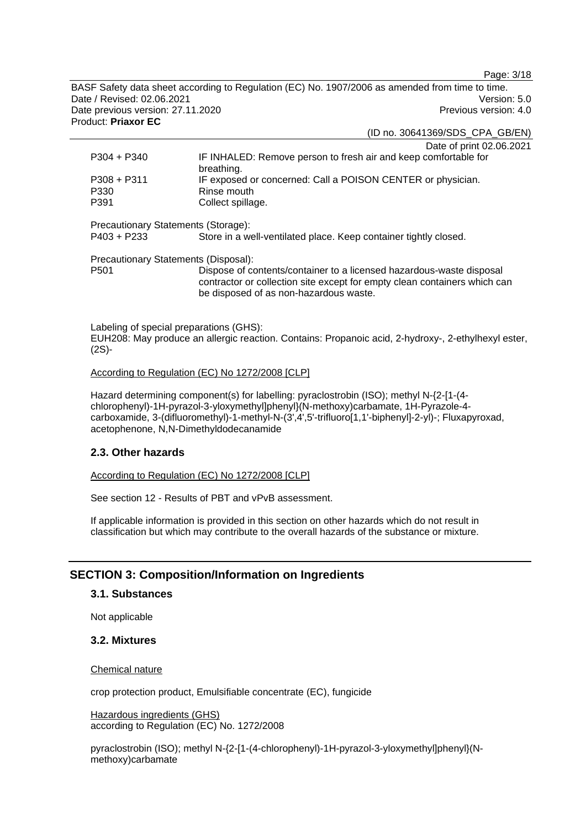Page: 3/18

BASF Safety data sheet according to Regulation (EC) No. 1907/2006 as amended from time to time. Date / Revised: 02.06.2021 Version: 5.0 Date previous version: 27.11.2020 **Previous version: 4.0** Previous version: 4.0 Product: **Priaxor EC** 

(ID no. 30641369/SDS\_CPA\_GB/EN)

|                                      | Date of print 02.06.2021                                                                                                                                                                    |  |
|--------------------------------------|---------------------------------------------------------------------------------------------------------------------------------------------------------------------------------------------|--|
| $P304 + P340$                        | IF INHALED: Remove person to fresh air and keep comfortable for<br>breathing.                                                                                                               |  |
| $P308 + P311$                        | IF exposed or concerned: Call a POISON CENTER or physician.                                                                                                                                 |  |
| P330                                 | Rinse mouth                                                                                                                                                                                 |  |
| P391                                 | Collect spillage.                                                                                                                                                                           |  |
|                                      |                                                                                                                                                                                             |  |
| Precautionary Statements (Storage):  |                                                                                                                                                                                             |  |
| $P403 + P233$                        | Store in a well-ventilated place. Keep container tightly closed.                                                                                                                            |  |
| Precautionary Statements (Disposal): |                                                                                                                                                                                             |  |
| P <sub>501</sub>                     | Dispose of contents/container to a licensed hazardous-waste disposal<br>contractor or collection site except for empty clean containers which can<br>be disposed of as non-hazardous waste. |  |
|                                      |                                                                                                                                                                                             |  |

Labeling of special preparations (GHS): EUH208: May produce an allergic reaction. Contains: Propanoic acid, 2-hydroxy-, 2-ethylhexyl ester, (2S)-

#### According to Regulation (EC) No 1272/2008 [CLP]

Hazard determining component(s) for labelling: pyraclostrobin (ISO); methyl N-{2-[1-(4 chlorophenyl)-1H-pyrazol-3-yloxymethyl]phenyl}(N-methoxy)carbamate, 1H-Pyrazole-4 carboxamide, 3-(difluoromethyl)-1-methyl-N-(3',4',5'-trifluoro[1,1'-biphenyl]-2-yl)-; Fluxapyroxad, acetophenone, N,N-Dimethyldodecanamide

### **2.3. Other hazards**

According to Regulation (EC) No 1272/2008 [CLP]

See section 12 - Results of PBT and vPvB assessment.

If applicable information is provided in this section on other hazards which do not result in classification but which may contribute to the overall hazards of the substance or mixture.

### **SECTION 3: Composition/Information on Ingredients**

### **3.1. Substances**

Not applicable

### **3.2. Mixtures**

#### Chemical nature

crop protection product, Emulsifiable concentrate (EC), fungicide

Hazardous ingredients (GHS) according to Regulation (EC) No. 1272/2008

pyraclostrobin (ISO); methyl N-{2-[1-(4-chlorophenyl)-1H-pyrazol-3-yloxymethyl]phenyl}(Nmethoxy)carbamate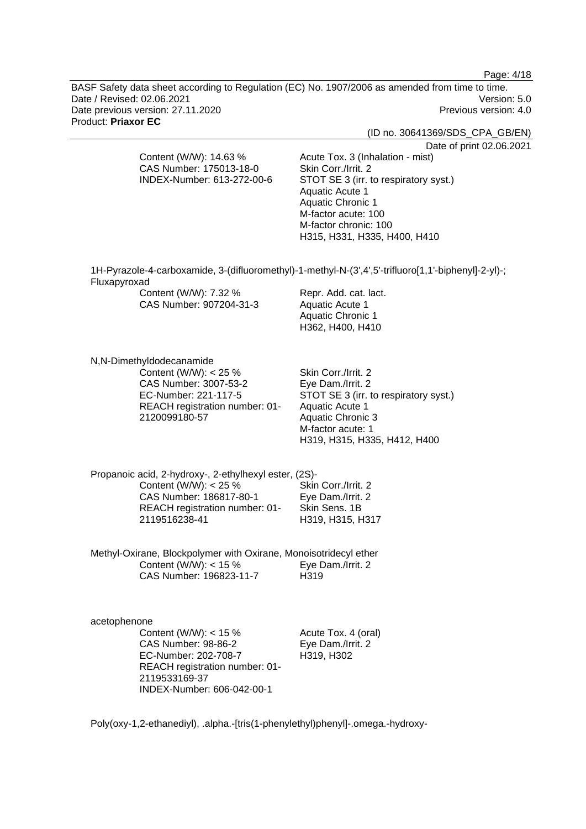Page: 4/18

BASF Safety data sheet according to Regulation (EC) No. 1907/2006 as amended from time to time. Date / Revised: 02.06.2021 Version: 5.0 Date previous version: 27.11.2020 **Previous version: 4.0** Previous version: 4.0 Product: **Priaxor EC** 

(ID no. 30641369/SDS\_CPA\_GB/EN)

Date of print 02.06.2021

CAS Number: 175013-18-0 INDEX-Number: 613-272-00-6 Acute Tox. 3 (Inhalation - mist) Skin Corr./Irrit. 2 STOT SE 3 (irr. to respiratory syst.) Aquatic Acute 1 Aquatic Chronic 1 M-factor acute: 100 M-factor chronic: 100 H315, H331, H335, H400, H410

1H-Pyrazole-4-carboxamide, 3-(difluoromethyl)-1-methyl-N-(3',4',5'-trifluoro[1,1'-biphenyl]-2-yl)-; Fluxapyroxad Content (W/W) 7 32 % Repr. Add. cat. lact.

| <b>COLLIGIII (VV/VV).</b> 1.32 70 | Repr. Add. Cat. Iaci |
|-----------------------------------|----------------------|
| CAS Number: 907204-31-3           | Aquatic Acute 1      |
|                                   | Aquatic Chronic 1    |
|                                   | H362, H400, H410     |

N,N-Dimethyldodecanamide

Content (W/W): < 25 % CAS Number: 3007-53-2 EC-Number: 221-117-5 REACH registration number: 01- 2120099180-57

Content (W/W): 14.63 %

Skin Corr./Irrit. 2 Eye Dam./Irrit. 2 STOT SE 3 (irr. to respiratory syst.) Aquatic Acute 1 Aquatic Chronic 3 M-factor acute: 1 H319, H315, H335, H412, H400

Propanoic acid, 2-hydroxy-, 2-ethylhexyl ester, (2S)- Content (W/W):  $< 25 \%$ CAS Number: 186817-80-1 REACH registration number: 01- 2119516238-41 Skin Corr./Irrit. 2 Eye Dam./Irrit. 2 Skin Sens. 1B H319, H315, H317

Methyl-Oxirane, Blockpolymer with Oxirane, Monoisotridecyl ether Content (W/W):  $<$  15 % CAS Number: 196823-11-7 Eye Dam./Irrit. 2 H<sub>319</sub>

acetophenone Content (W/W):  $<$  15 % CAS Number: 98-86-2 EC-Number: 202-708-7 REACH registration number: 01- 2119533169-37 INDEX-Number: 606-042-00-1

Acute Tox. 4 (oral) Eye Dam./Irrit. 2 H319, H302

Poly(oxy-1,2-ethanediyl), .alpha.-[tris(1-phenylethyl)phenyl]-.omega.-hydroxy-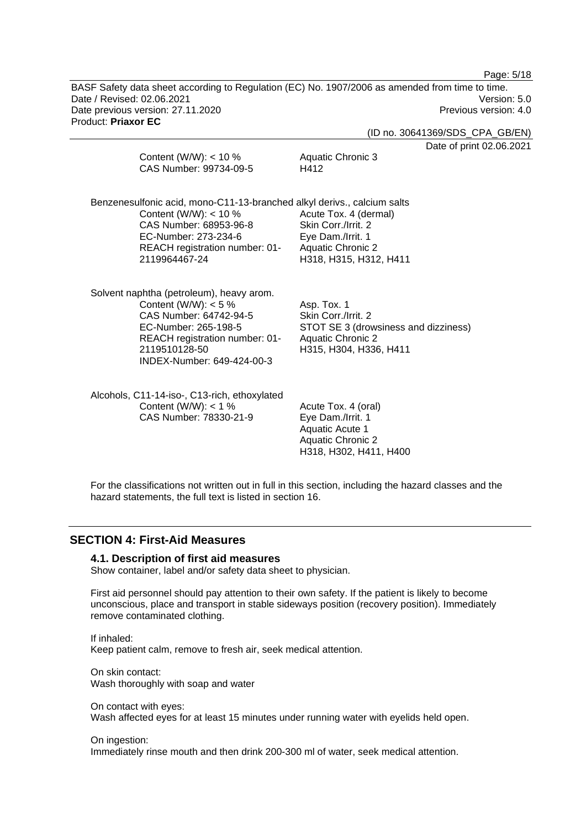Page: 5/18

BASF Safety data sheet according to Regulation (EC) No. 1907/2006 as amended from time to time. Date / Revised: 02.06.2021 Version: 5.0 Date previous version: 27.11.2020 **Previous version: 4.0** Previous version: 4.0 Product: **Priaxor EC** 

(ID no. 30641369/SDS\_CPA\_GB/EN)

nt 02.06.2021

|               | Content (W/W): $<$ 10 %<br>CAS Number: 99734-09-5                                                                                                                                    | Aquatic Chronic 3<br>H412                                                                                                                                                                          | Date of prin |
|---------------|--------------------------------------------------------------------------------------------------------------------------------------------------------------------------------------|----------------------------------------------------------------------------------------------------------------------------------------------------------------------------------------------------|--------------|
| 2119964467-24 | Content (W/W): $<$ 10 %<br>CAS Number: 68953-96-8<br>EC-Number: 273-234-6<br>REACH registration number: 01-                                                                          | Benzenesulfonic acid, mono-C11-13-branched alkyl derivs., calcium salts<br>Acute Tox. 4 (dermal)<br>Skin Corr./Irrit. 2<br>Eye Dam./Irrit. 1<br><b>Aquatic Chronic 2</b><br>H318, H315, H312, H411 |              |
| 2119510128-50 | Solvent naphtha (petroleum), heavy arom.<br>Content (W/W): $<$ 5 %<br>CAS Number: 64742-94-5<br>EC-Number: 265-198-5<br>REACH registration number: 01-<br>INDEX-Number: 649-424-00-3 | Asp. Tox. 1<br>Skin Corr./Irrit. 2<br>STOT SE 3 (drowsiness and dizziness)<br><b>Aquatic Chronic 2</b><br>H315, H304, H336, H411                                                                   |              |
|               | Alcohols, C11-14-iso-, C13-rich, ethoxylated<br>Content (W/W): $<$ 1 %<br>CAS Number: 78330-21-9                                                                                     | Acute Tox. 4 (oral)<br>Eye Dam./Irrit. 1<br><b>Aquatic Acute 1</b><br><b>Aquatic Chronic 2</b><br>H318, H302, H411, H400                                                                           |              |

For the classifications not written out in full in this section, including the hazard classes and the hazard statements, the full text is listed in section 16.

### **SECTION 4: First-Aid Measures**

#### **4.1. Description of first aid measures**

Show container, label and/or safety data sheet to physician.

First aid personnel should pay attention to their own safety. If the patient is likely to become unconscious, place and transport in stable sideways position (recovery position). Immediately remove contaminated clothing.

If inhaled: Keep patient calm, remove to fresh air, seek medical attention.

On skin contact: Wash thoroughly with soap and water

On contact with eyes: Wash affected eyes for at least 15 minutes under running water with eyelids held open.

#### On ingestion:

Immediately rinse mouth and then drink 200-300 ml of water, seek medical attention.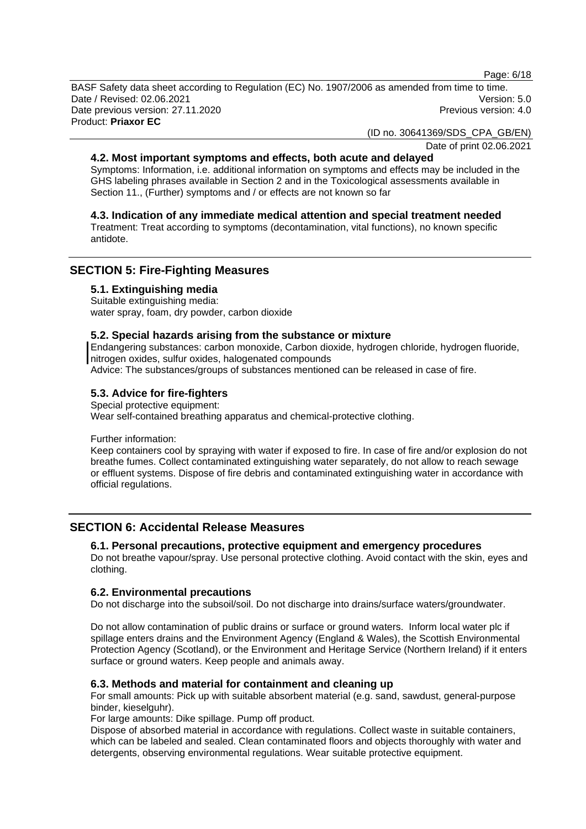Page: 6/18

BASF Safety data sheet according to Regulation (EC) No. 1907/2006 as amended from time to time. Date / Revised: 02.06.2021 Version: 5.0 Date previous version: 27.11.2020 **Previous version: 4.0** Previous version: 4.0 Product: **Priaxor EC** 

(ID no. 30641369/SDS\_CPA\_GB/EN)

Date of print 02.06.2021

### **4.2. Most important symptoms and effects, both acute and delayed**

Symptoms: Information, i.e. additional information on symptoms and effects may be included in the GHS labeling phrases available in Section 2 and in the Toxicological assessments available in Section 11., (Further) symptoms and / or effects are not known so far

### **4.3. Indication of any immediate medical attention and special treatment needed**

Treatment: Treat according to symptoms (decontamination, vital functions), no known specific antidote.

### **SECTION 5: Fire-Fighting Measures**

#### **5.1. Extinguishing media**

Suitable extinguishing media: water spray, foam, dry powder, carbon dioxide

#### **5.2. Special hazards arising from the substance or mixture**

Endangering substances: carbon monoxide, Carbon dioxide, hydrogen chloride, hydrogen fluoride, nitrogen oxides, sulfur oxides, halogenated compounds

Advice: The substances/groups of substances mentioned can be released in case of fire.

### **5.3. Advice for fire-fighters**

Special protective equipment: Wear self-contained breathing apparatus and chemical-protective clothing.

Further information:

Keep containers cool by spraying with water if exposed to fire. In case of fire and/or explosion do not breathe fumes. Collect contaminated extinguishing water separately, do not allow to reach sewage or effluent systems. Dispose of fire debris and contaminated extinguishing water in accordance with official regulations.

### **SECTION 6: Accidental Release Measures**

#### **6.1. Personal precautions, protective equipment and emergency procedures**

Do not breathe vapour/spray. Use personal protective clothing. Avoid contact with the skin, eyes and clothing.

### **6.2. Environmental precautions**

Do not discharge into the subsoil/soil. Do not discharge into drains/surface waters/groundwater.

Do not allow contamination of public drains or surface or ground waters. Inform local water plc if spillage enters drains and the Environment Agency (England & Wales), the Scottish Environmental Protection Agency (Scotland), or the Environment and Heritage Service (Northern Ireland) if it enters surface or ground waters. Keep people and animals away.

#### **6.3. Methods and material for containment and cleaning up**

For small amounts: Pick up with suitable absorbent material (e.g. sand, sawdust, general-purpose binder, kieselguhr).

For large amounts: Dike spillage. Pump off product.

Dispose of absorbed material in accordance with regulations. Collect waste in suitable containers, which can be labeled and sealed. Clean contaminated floors and objects thoroughly with water and detergents, observing environmental regulations. Wear suitable protective equipment.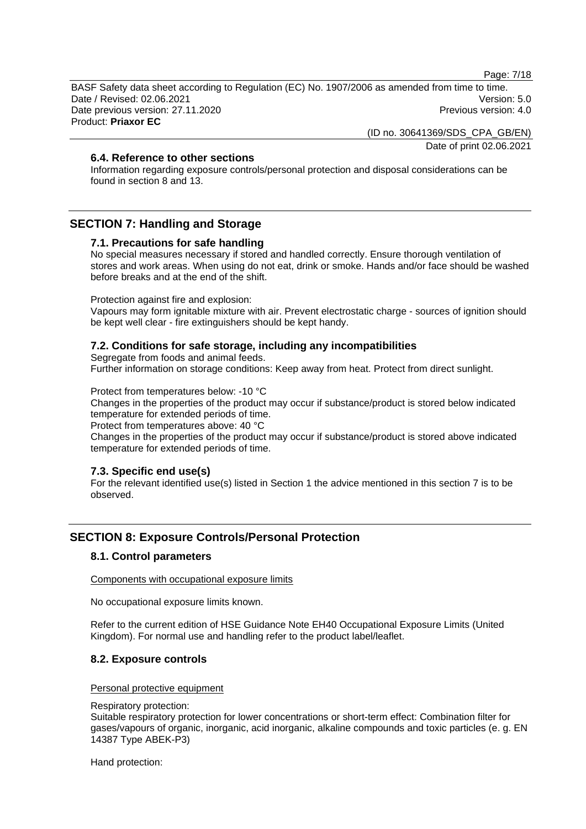Page: 7/18

BASF Safety data sheet according to Regulation (EC) No. 1907/2006 as amended from time to time. Date / Revised: 02.06.2021 Version: 5.0 Date previous version: 27.11.2020 **Previous version: 4.0** Previous version: 4.0 Product: **Priaxor EC** 

(ID no. 30641369/SDS\_CPA\_GB/EN)

Date of print 02.06.2021

### **6.4. Reference to other sections**

Information regarding exposure controls/personal protection and disposal considerations can be found in section 8 and 13.

### **SECTION 7: Handling and Storage**

### **7.1. Precautions for safe handling**

No special measures necessary if stored and handled correctly. Ensure thorough ventilation of stores and work areas. When using do not eat, drink or smoke. Hands and/or face should be washed before breaks and at the end of the shift.

Protection against fire and explosion:

Vapours may form ignitable mixture with air. Prevent electrostatic charge - sources of ignition should be kept well clear - fire extinguishers should be kept handy.

### **7.2. Conditions for safe storage, including any incompatibilities**

Segregate from foods and animal feeds.

Further information on storage conditions: Keep away from heat. Protect from direct sunlight.

Protect from temperatures below: -10 °C

Changes in the properties of the product may occur if substance/product is stored below indicated temperature for extended periods of time.

Protect from temperatures above: 40 °C

Changes in the properties of the product may occur if substance/product is stored above indicated temperature for extended periods of time.

### **7.3. Specific end use(s)**

For the relevant identified use(s) listed in Section 1 the advice mentioned in this section 7 is to be observed.

### **SECTION 8: Exposure Controls/Personal Protection**

### **8.1. Control parameters**

Components with occupational exposure limits

No occupational exposure limits known.

Refer to the current edition of HSE Guidance Note EH40 Occupational Exposure Limits (United Kingdom). For normal use and handling refer to the product label/leaflet.

### **8.2. Exposure controls**

#### Personal protective equipment

#### Respiratory protection:

Suitable respiratory protection for lower concentrations or short-term effect: Combination filter for gases/vapours of organic, inorganic, acid inorganic, alkaline compounds and toxic particles (e. g. EN 14387 Type ABEK-P3)

Hand protection: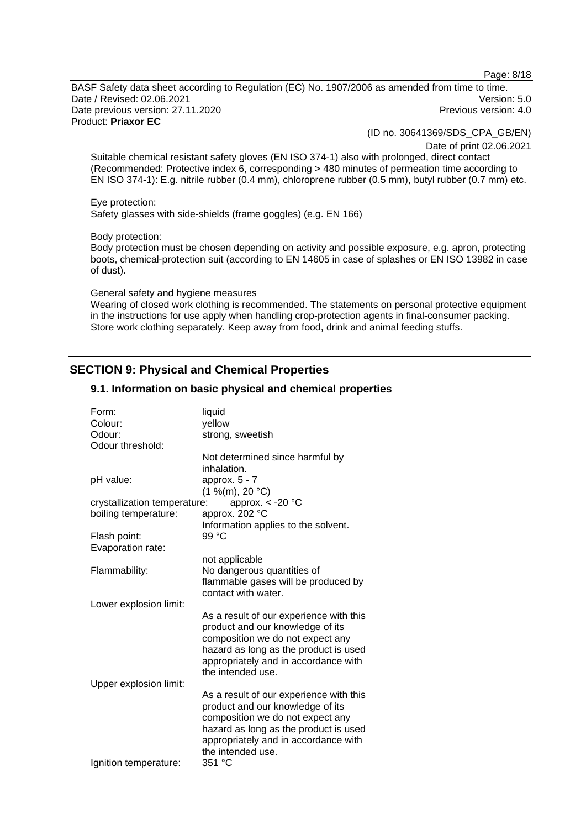Page: 8/18

BASF Safety data sheet according to Regulation (EC) No. 1907/2006 as amended from time to time. Date / Revised: 02.06.2021 Version: 5.0 Date previous version: 27.11.2020 **Previous version: 4.0** Previous version: 4.0 Product: **Priaxor EC** 

(ID no. 30641369/SDS\_CPA\_GB/EN)

Date of print 02.06.2021

Suitable chemical resistant safety gloves (EN ISO 374-1) also with prolonged, direct contact (Recommended: Protective index 6, corresponding > 480 minutes of permeation time according to EN ISO 374-1): E.g. nitrile rubber (0.4 mm), chloroprene rubber (0.5 mm), butyl rubber (0.7 mm) etc.

Eye protection:

Safety glasses with side-shields (frame goggles) (e.g. EN 166)

Body protection:

Body protection must be chosen depending on activity and possible exposure, e.g. apron, protecting boots, chemical-protection suit (according to EN 14605 in case of splashes or EN ISO 13982 in case of dust).

### General safety and hygiene measures

Wearing of closed work clothing is recommended. The statements on personal protective equipment in the instructions for use apply when handling crop-protection agents in final-consumer packing. Store work clothing separately. Keep away from food, drink and animal feeding stuffs.

### **SECTION 9: Physical and Chemical Properties**

| Form:<br>Colour:<br>Odour:   | liquid<br>yellow<br>strong, sweetish                                                                                                                                                                                  |
|------------------------------|-----------------------------------------------------------------------------------------------------------------------------------------------------------------------------------------------------------------------|
| Odour threshold:             |                                                                                                                                                                                                                       |
|                              | Not determined since harmful by<br>inhalation.                                                                                                                                                                        |
| pH value:                    | approx. $5 - 7$<br>(1 %(m), 20 °C)                                                                                                                                                                                    |
| crystallization temperature: | approx. $<$ -20 $^{\circ}$ C                                                                                                                                                                                          |
| boiling temperature:         | approx. 202 °C                                                                                                                                                                                                        |
| Flash point:                 | Information applies to the solvent.<br>99 °C                                                                                                                                                                          |
| Evaporation rate:            |                                                                                                                                                                                                                       |
| Flammability:                | not applicable<br>No dangerous quantities of<br>flammable gases will be produced by<br>contact with water.                                                                                                            |
| Lower explosion limit:       |                                                                                                                                                                                                                       |
| Upper explosion limit:       | As a result of our experience with this<br>product and our knowledge of its<br>composition we do not expect any<br>hazard as long as the product is used<br>appropriately and in accordance with<br>the intended use. |
|                              | As a result of our experience with this                                                                                                                                                                               |
|                              | product and our knowledge of its<br>composition we do not expect any<br>hazard as long as the product is used<br>appropriately and in accordance with<br>the intended use.                                            |
| Ignition temperature:        | 351 °C                                                                                                                                                                                                                |

### **9.1. Information on basic physical and chemical properties**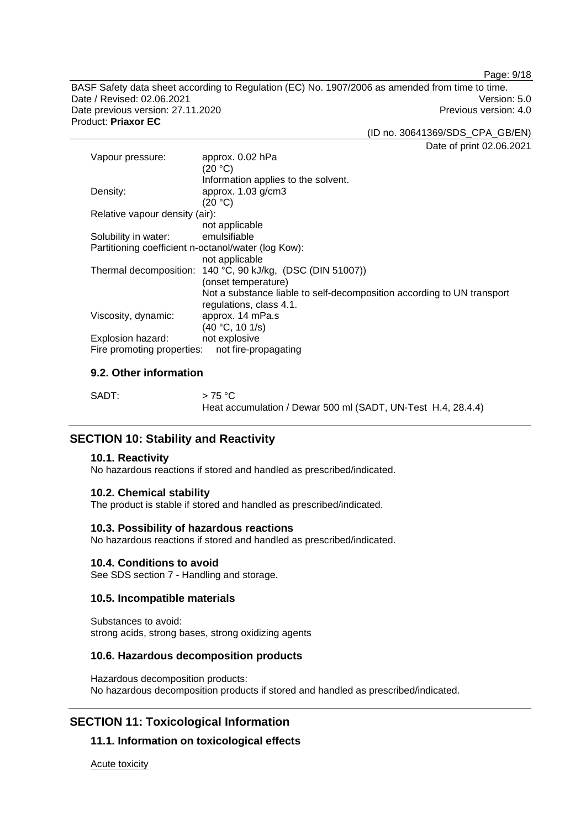Page: 9/18

BASF Safety data sheet according to Regulation (EC) No. 1907/2006 as amended from time to time. Date / Revised: 02.06.2021 Version: 5.0 Date previous version: 27.11.2020 **Previous version: 4.0** Previous version: 4.0 Product: **Priaxor EC** 

(ID no. 30641369/SDS\_CPA\_GB/EN)

Date of print 02.06.2021

| Vapour pressure:                                    | approx. 0.02 hPa                                                       |
|-----------------------------------------------------|------------------------------------------------------------------------|
|                                                     | (20 °C)                                                                |
|                                                     | Information applies to the solvent.                                    |
| Density:                                            | approx. $1.03$ g/cm $3$                                                |
|                                                     | (20 °C)                                                                |
| Relative vapour density (air):                      |                                                                        |
|                                                     | not applicable                                                         |
| Solubility in water:                                | emulsifiable                                                           |
| Partitioning coefficient n-octanol/water (log Kow): |                                                                        |
|                                                     | not applicable                                                         |
|                                                     | Thermal decomposition: 140 °C, 90 kJ/kg, (DSC (DIN 51007))             |
|                                                     | (onset temperature)                                                    |
|                                                     | Not a substance liable to self-decomposition according to UN transport |
|                                                     | regulations, class 4.1.                                                |
| Viscosity, dynamic:                                 | approx. 14 mPa.s                                                       |
|                                                     | (40 °C, 10 1/s)                                                        |
| Explosion hazard:                                   | not explosive                                                          |
| Fire promoting properties:                          | not fire-propagating                                                   |

### **9.2. Other information**

| SADT: | $>75\,^{\circ}\mathrm{C}$                                    |
|-------|--------------------------------------------------------------|
|       | Heat accumulation / Dewar 500 ml (SADT, UN-Test H.4, 28.4.4) |

### **SECTION 10: Stability and Reactivity**

#### **10.1. Reactivity**

No hazardous reactions if stored and handled as prescribed/indicated.

#### **10.2. Chemical stability**

The product is stable if stored and handled as prescribed/indicated.

#### **10.3. Possibility of hazardous reactions**

No hazardous reactions if stored and handled as prescribed/indicated.

#### **10.4. Conditions to avoid**

See SDS section 7 - Handling and storage.

### **10.5. Incompatible materials**

Substances to avoid: strong acids, strong bases, strong oxidizing agents

#### **10.6. Hazardous decomposition products**

Hazardous decomposition products: No hazardous decomposition products if stored and handled as prescribed/indicated.

### **SECTION 11: Toxicological Information**

### **11.1. Information on toxicological effects**

Acute toxicity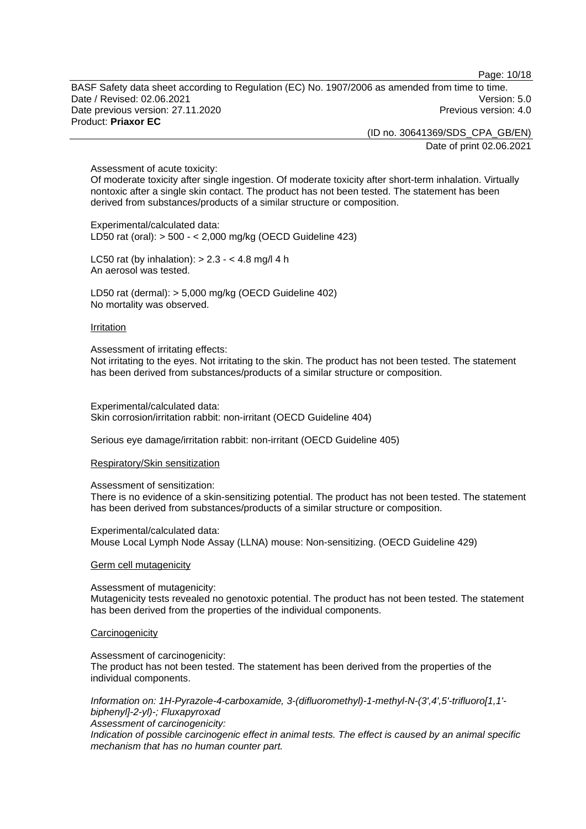Page: 10/18

BASF Safety data sheet according to Regulation (EC) No. 1907/2006 as amended from time to time. Date / Revised: 02.06.2021 Version: 5.0 Date previous version: 27.11.2020 **Previous version: 4.0** Previous version: 4.0 Product: **Priaxor EC** 

(ID no. 30641369/SDS\_CPA\_GB/EN)

Date of print 02.06.2021

#### Assessment of acute toxicity:

Of moderate toxicity after single ingestion. Of moderate toxicity after short-term inhalation. Virtually nontoxic after a single skin contact. The product has not been tested. The statement has been derived from substances/products of a similar structure or composition.

Experimental/calculated data: LD50 rat (oral): > 500 - < 2,000 mg/kg (OECD Guideline 423)

LC50 rat (by inhalation):  $> 2.3 - 4.8$  mg/l 4 h An aerosol was tested.

LD50 rat (dermal): > 5,000 mg/kg (OECD Guideline 402) No mortality was observed.

#### **Irritation**

Assessment of irritating effects:

Not irritating to the eyes. Not irritating to the skin. The product has not been tested. The statement has been derived from substances/products of a similar structure or composition.

Experimental/calculated data: Skin corrosion/irritation rabbit: non-irritant (OECD Guideline 404)

Serious eye damage/irritation rabbit: non-irritant (OECD Guideline 405)

#### Respiratory/Skin sensitization

Assessment of sensitization:

There is no evidence of a skin-sensitizing potential. The product has not been tested. The statement has been derived from substances/products of a similar structure or composition.

Experimental/calculated data: Mouse Local Lymph Node Assay (LLNA) mouse: Non-sensitizing. (OECD Guideline 429)

#### Germ cell mutagenicity

Assessment of mutagenicity: Mutagenicity tests revealed no genotoxic potential. The product has not been tested. The statement has been derived from the properties of the individual components.

#### **Carcinogenicity**

Assessment of carcinogenicity: The product has not been tested. The statement has been derived from the properties of the individual components.

*Information on: 1H-Pyrazole-4-carboxamide, 3-(difluoromethyl)-1-methyl-N-(3',4',5'-trifluoro[1,1' biphenyl]-2-yl)-; Fluxapyroxad Assessment of carcinogenicity:* 

*Indication of possible carcinogenic effect in animal tests. The effect is caused by an animal specific mechanism that has no human counter part.*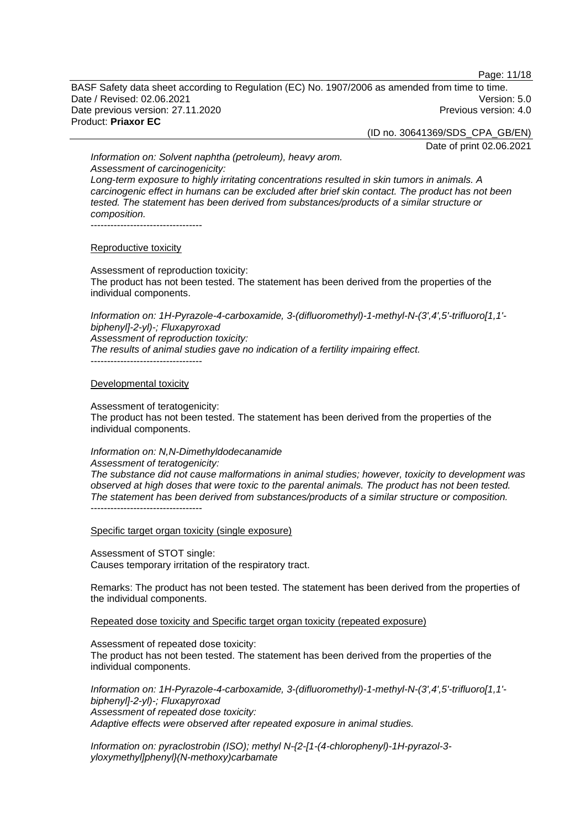Page: 11/18

BASF Safety data sheet according to Regulation (EC) No. 1907/2006 as amended from time to time. Date / Revised: 02.06.2021 Version: 5.0 Date previous version: 27.11.2020 **Previous version: 4.0** Previous version: 4.0 Product: **Priaxor EC** 

(ID no. 30641369/SDS\_CPA\_GB/EN)

Date of print 02.06.2021

*Information on: Solvent naphtha (petroleum), heavy arom. Assessment of carcinogenicity: Long-term exposure to highly irritating concentrations resulted in skin tumors in animals. A carcinogenic effect in humans can be excluded after brief skin contact. The product has not been tested. The statement has been derived from substances/products of a similar structure or composition.*  ----------------------------------

Reproductive toxicity

Assessment of reproduction toxicity: The product has not been tested. The statement has been derived from the properties of the individual components.

*Information on: 1H-Pyrazole-4-carboxamide, 3-(difluoromethyl)-1-methyl-N-(3',4',5'-trifluoro[1,1' biphenyl]-2-yl)-; Fluxapyroxad Assessment of reproduction toxicity: The results of animal studies gave no indication of a fertility impairing effect.*  ----------------------------------

Developmental toxicity

Assessment of teratogenicity:

The product has not been tested. The statement has been derived from the properties of the individual components.

*Information on: N,N-Dimethyldodecanamide*

*Assessment of teratogenicity: The substance did not cause malformations in animal studies; however, toxicity to development was observed at high doses that were toxic to the parental animals. The product has not been tested. The statement has been derived from substances/products of a similar structure or composition.*  ----------------------------------

Specific target organ toxicity (single exposure)

Assessment of STOT single: Causes temporary irritation of the respiratory tract.

Remarks: The product has not been tested. The statement has been derived from the properties of the individual components.

Repeated dose toxicity and Specific target organ toxicity (repeated exposure)

Assessment of repeated dose toxicity:

The product has not been tested. The statement has been derived from the properties of the individual components.

*Information on: 1H-Pyrazole-4-carboxamide, 3-(difluoromethyl)-1-methyl-N-(3',4',5'-trifluoro[1,1' biphenyl]-2-yl)-; Fluxapyroxad Assessment of repeated dose toxicity: Adaptive effects were observed after repeated exposure in animal studies.* 

*Information on: pyraclostrobin (ISO); methyl N-{2-[1-(4-chlorophenyl)-1H-pyrazol-3 yloxymethyl]phenyl}(N-methoxy)carbamate*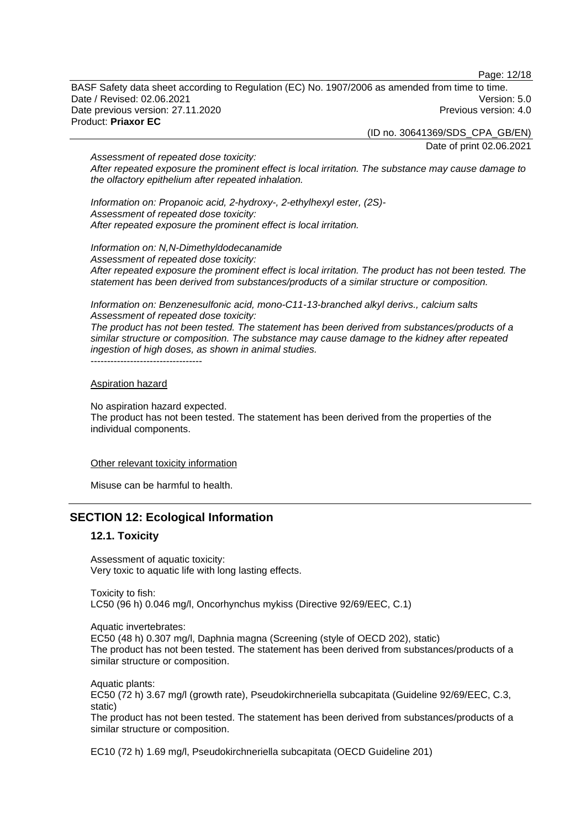Page: 12/18

BASF Safety data sheet according to Regulation (EC) No. 1907/2006 as amended from time to time. Date / Revised: 02.06.2021 Version: 5.0 Date previous version: 27.11.2020 **Previous version: 4.0** Previous version: 4.0 Product: **Priaxor EC** 

(ID no. 30641369/SDS\_CPA\_GB/EN)

Date of print 02.06.2021

*Assessment of repeated dose toxicity: After repeated exposure the prominent effect is local irritation. The substance may cause damage to the olfactory epithelium after repeated inhalation.* 

*Information on: Propanoic acid, 2-hydroxy-, 2-ethylhexyl ester, (2S)- Assessment of repeated dose toxicity: After repeated exposure the prominent effect is local irritation.* 

*Information on: N,N-Dimethyldodecanamide Assessment of repeated dose toxicity: After repeated exposure the prominent effect is local irritation. The product has not been tested. The statement has been derived from substances/products of a similar structure or composition.* 

*Information on: Benzenesulfonic acid, mono-C11-13-branched alkyl derivs., calcium salts Assessment of repeated dose toxicity:* 

*The product has not been tested. The statement has been derived from substances/products of a similar structure or composition. The substance may cause damage to the kidney after repeated ingestion of high doses, as shown in animal studies.* 

#### Aspiration hazard

No aspiration hazard expected.

----------------------------------

The product has not been tested. The statement has been derived from the properties of the individual components.

#### Other relevant toxicity information

Misuse can be harmful to health.

### **SECTION 12: Ecological Information**

### **12.1. Toxicity**

Assessment of aquatic toxicity: Very toxic to aquatic life with long lasting effects.

Toxicity to fish: LC50 (96 h) 0.046 mg/l, Oncorhynchus mykiss (Directive 92/69/EEC, C.1)

Aquatic invertebrates:

EC50 (48 h) 0.307 mg/l, Daphnia magna (Screening (style of OECD 202), static) The product has not been tested. The statement has been derived from substances/products of a similar structure or composition.

Aquatic plants: EC50 (72 h) 3.67 mg/l (growth rate), Pseudokirchneriella subcapitata (Guideline 92/69/EEC, C.3, static)

The product has not been tested. The statement has been derived from substances/products of a similar structure or composition.

EC10 (72 h) 1.69 mg/l, Pseudokirchneriella subcapitata (OECD Guideline 201)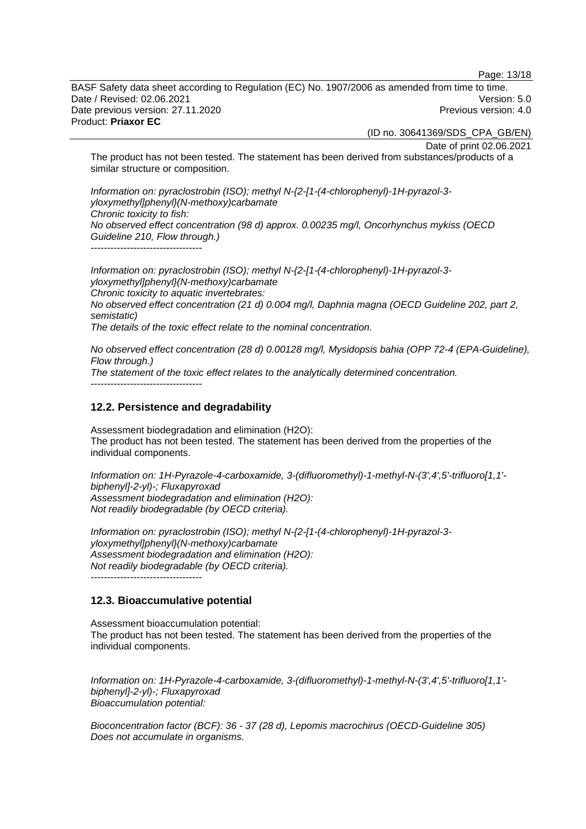Page: 13/18

BASF Safety data sheet according to Regulation (EC) No. 1907/2006 as amended from time to time. Date / Revised: 02.06.2021 Version: 5.0 Date previous version: 27.11.2020 **Previous version: 4.0** Previous version: 4.0 Product: **Priaxor EC** 

(ID no. 30641369/SDS\_CPA\_GB/EN)

Date of print 02.06.2021

The product has not been tested. The statement has been derived from substances/products of a similar structure or composition.

*Information on: pyraclostrobin (ISO); methyl N-{2-[1-(4-chlorophenyl)-1H-pyrazol-3 yloxymethyl]phenyl}(N-methoxy)carbamate Chronic toxicity to fish: No observed effect concentration (98 d) approx. 0.00235 mg/l, Oncorhynchus mykiss (OECD Guideline 210, Flow through.)*   $-$ 

*Information on: pyraclostrobin (ISO); methyl N-{2-[1-(4-chlorophenyl)-1H-pyrazol-3 yloxymethyl]phenyl}(N-methoxy)carbamate Chronic toxicity to aquatic invertebrates: No observed effect concentration (21 d) 0.004 mg/l, Daphnia magna (OECD Guideline 202, part 2, semistatic) The details of the toxic effect relate to the nominal concentration.* 

*No observed effect concentration (28 d) 0.00128 mg/l, Mysidopsis bahia (OPP 72-4 (EPA-Guideline), Flow through.) The statement of the toxic effect relates to the analytically determined concentration.*   $-$ 

#### **12.2. Persistence and degradability**

Assessment biodegradation and elimination (H2O): The product has not been tested. The statement has been derived from the properties of the individual components.

*Information on: 1H-Pyrazole-4-carboxamide, 3-(difluoromethyl)-1-methyl-N-(3',4',5'-trifluoro[1,1' biphenyl]-2-yl)-; Fluxapyroxad Assessment biodegradation and elimination (H2O): Not readily biodegradable (by OECD criteria).* 

*Information on: pyraclostrobin (ISO); methyl N-{2-[1-(4-chlorophenyl)-1H-pyrazol-3 yloxymethyl]phenyl}(N-methoxy)carbamate Assessment biodegradation and elimination (H2O): Not readily biodegradable (by OECD criteria).*  ----------------------------------

#### **12.3. Bioaccumulative potential**

Assessment bioaccumulation potential: The product has not been tested. The statement has been derived from the properties of the individual components.

*Information on: 1H-Pyrazole-4-carboxamide, 3-(difluoromethyl)-1-methyl-N-(3',4',5'-trifluoro[1,1' biphenyl]-2-yl)-; Fluxapyroxad Bioaccumulation potential:* 

*Bioconcentration factor (BCF): 36 - 37 (28 d), Lepomis macrochirus (OECD-Guideline 305) Does not accumulate in organisms.*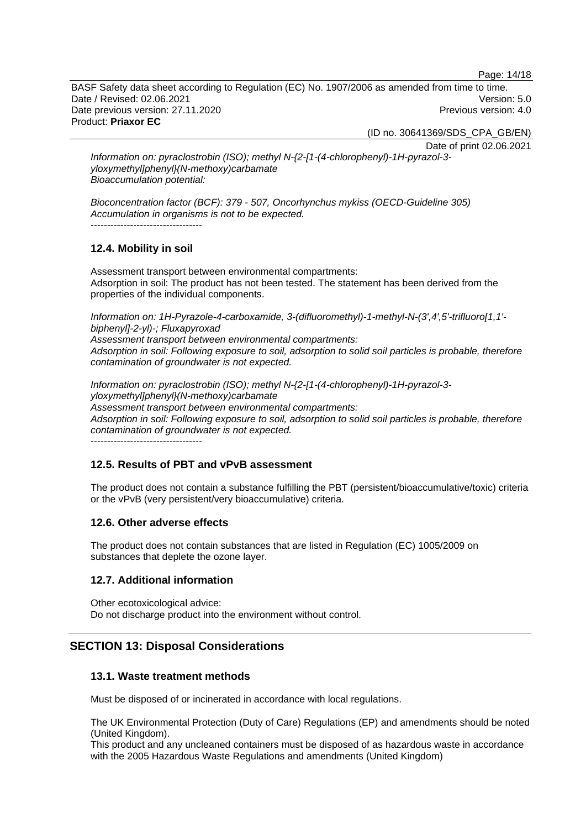Page: 14/18

BASF Safety data sheet according to Regulation (EC) No. 1907/2006 as amended from time to time. Date / Revised: 02.06.2021 Version: 5.0 Date previous version: 27.11.2020 **Previous version: 4.0** Previous version: 4.0 Product: **Priaxor EC** 

(ID no. 30641369/SDS\_CPA\_GB/EN)

Date of print 02.06.2021

*Information on: pyraclostrobin (ISO); methyl N-{2-[1-(4-chlorophenyl)-1H-pyrazol-3 yloxymethyl]phenyl}(N-methoxy)carbamate Bioaccumulation potential:* 

*Bioconcentration factor (BCF): 379 - 507, Oncorhynchus mykiss (OECD-Guideline 305) Accumulation in organisms is not to be expected.*  ----------------------------------

### **12.4. Mobility in soil**

Assessment transport between environmental compartments: Adsorption in soil: The product has not been tested. The statement has been derived from the properties of the individual components.

*Information on: 1H-Pyrazole-4-carboxamide, 3-(difluoromethyl)-1-methyl-N-(3',4',5'-trifluoro[1,1' biphenyl]-2-yl)-; Fluxapyroxad* 

*Assessment transport between environmental compartments: Adsorption in soil: Following exposure to soil, adsorption to solid soil particles is probable, therefore contamination of groundwater is not expected.*

*Information on: pyraclostrobin (ISO); methyl N-{2-[1-(4-chlorophenyl)-1H-pyrazol-3 yloxymethyl]phenyl}(N-methoxy)carbamate Assessment transport between environmental compartments: Adsorption in soil: Following exposure to soil, adsorption to solid soil particles is probable, therefore contamination of groundwater is not expected.*

----------------------------------

### **12.5. Results of PBT and vPvB assessment**

The product does not contain a substance fulfilling the PBT (persistent/bioaccumulative/toxic) criteria or the vPvB (very persistent/very bioaccumulative) criteria.

### **12.6. Other adverse effects**

The product does not contain substances that are listed in Regulation (EC) 1005/2009 on substances that deplete the ozone layer.

### **12.7. Additional information**

Other ecotoxicological advice: Do not discharge product into the environment without control.

### **SECTION 13: Disposal Considerations**

### **13.1. Waste treatment methods**

Must be disposed of or incinerated in accordance with local regulations.

The UK Environmental Protection (Duty of Care) Regulations (EP) and amendments should be noted (United Kingdom).

This product and any uncleaned containers must be disposed of as hazardous waste in accordance with the 2005 Hazardous Waste Regulations and amendments (United Kingdom)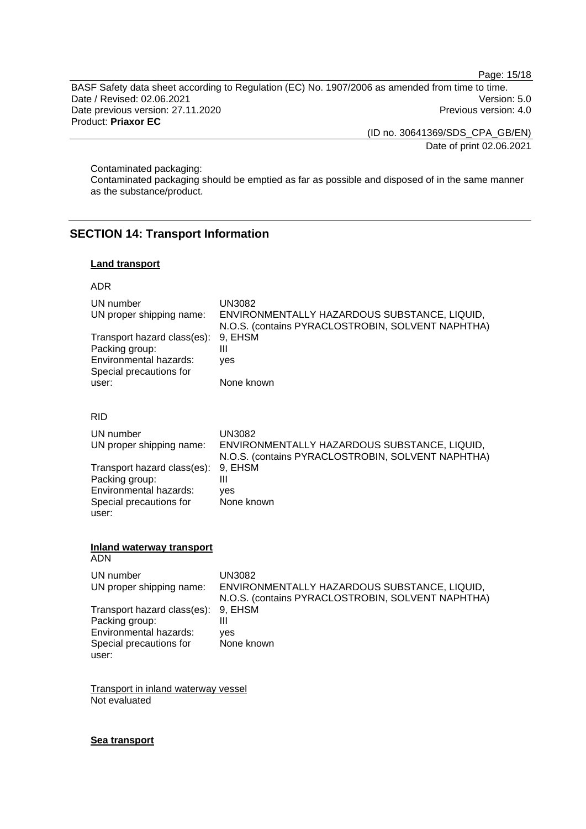Page: 15/18

BASF Safety data sheet according to Regulation (EC) No. 1907/2006 as amended from time to time. Date / Revised: 02.06.2021 Version: 5.0 Date previous version: 27.11.2020 Previous version: 4.0 Product: **Priaxor EC** 

(ID no. 30641369/SDS\_CPA\_GB/EN)

Date of print 02.06.2021

Contaminated packaging:

Contaminated packaging should be emptied as far as possible and disposed of in the same manner as the substance/product.

### **SECTION 14: Transport Information**

### **Land transport**

#### ADR

| UN number<br>UN proper shipping name:<br>Transport hazard class(es):<br>Packing group:<br>Environmental hazards:<br>Special precautions for<br>user: | <b>UN3082</b><br>ENVIRONMENTALLY HAZARDOUS SUBSTANCE, LIQUID,<br>N.O.S. (contains PYRACLOSTROBIN, SOLVENT NAPHTHA)<br>9, EHSM<br>$\mathbf{III}$<br>yes<br>None known |
|------------------------------------------------------------------------------------------------------------------------------------------------------|----------------------------------------------------------------------------------------------------------------------------------------------------------------------|
| <b>RID</b>                                                                                                                                           |                                                                                                                                                                      |
| UN number<br>UN proper shipping name:                                                                                                                | <b>UN3082</b><br>ENVIRONMENTALLY HAZARDOUS SUBSTANCE, LIQUID,<br>N.O.S. (contains PYRACLOSTROBIN, SOLVENT NAPHTHA)                                                   |
| Transport hazard class(es):<br>Packing group:<br>Environmental hazards:<br>Special precautions for<br>user:                                          | 9, EHSM<br>Ш<br>ves<br>None known                                                                                                                                    |
| Inland waterway transport<br><b>ADN</b>                                                                                                              |                                                                                                                                                                      |
| UN number<br>UN proper shipping name:                                                                                                                | <b>UN3082</b><br>ENVIRONMENTALLY HAZARDOUS SUBSTANCE, LIQUID,<br>N.O.S. (contains PYRACLOSTROBIN, SOLVENT NAPHTHA)                                                   |
| Transport hazard class(es):<br>Packing group:<br>Environmental hazards:<br>Special precautions for<br>user:                                          | 9, EHSM<br>Ш<br>ves<br>None known                                                                                                                                    |
| وتمله مرورو المتمر المراسدة المراسين من                                                                                                              |                                                                                                                                                                      |

**Transport in inland waterway vessel** Not evaluated

#### **Sea transport**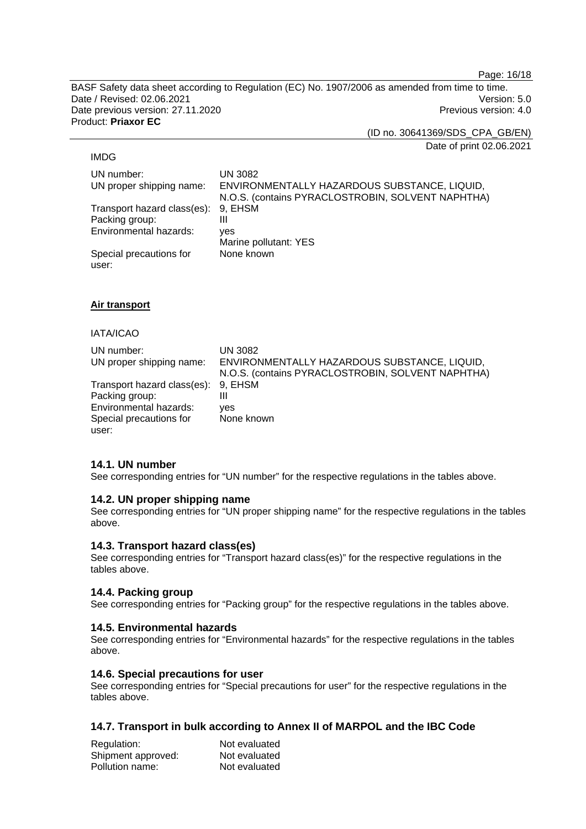Page: 16/18

BASF Safety data sheet according to Regulation (EC) No. 1907/2006 as amended from time to time. Date / Revised: 02.06.2021 Version: 5.0 Date previous version: 27.11.2020 **Previous version: 4.0** Previous version: 4.0 Product: **Priaxor EC** 

(ID no. 30641369/SDS\_CPA\_GB/EN)

Date of print 02.06.2021

#### IMDG

UN number: UN 3082 UN proper shipping name: ENVIRONMENTALLY HAZARDOUS SUBSTANCE, LIQUID, N.O.S. (contains PYRACLOSTROBIN, SOLVENT NAPHTHA) Transport hazard class(es): 9, EHSM Packing group: III Environmental hazards: yes Marine pollutant: YES Special precautions for user: None known

### **Air transport**

#### IATA/ICAO

| UN number:<br>UN proper shipping name: | UN 3082<br>ENVIRONMENTALLY HAZARDOUS SUBSTANCE, LIQUID,<br>N.O.S. (contains PYRACLOSTROBIN, SOLVENT NAPHTHA) |
|----------------------------------------|--------------------------------------------------------------------------------------------------------------|
| Transport hazard class(es): 9, EHSM    |                                                                                                              |
| Packing group:                         | Ш                                                                                                            |
| Environmental hazards:                 | ves                                                                                                          |
| Special precautions for                | None known                                                                                                   |
| user:                                  |                                                                                                              |

### **14.1. UN number**

See corresponding entries for "UN number" for the respective regulations in the tables above.

### **14.2. UN proper shipping name**

See corresponding entries for "UN proper shipping name" for the respective regulations in the tables above.

### **14.3. Transport hazard class(es)**

See corresponding entries for "Transport hazard class(es)" for the respective regulations in the tables above.

### **14.4. Packing group**

See corresponding entries for "Packing group" for the respective regulations in the tables above.

### **14.5. Environmental hazards**

See corresponding entries for "Environmental hazards" for the respective regulations in the tables above.

### **14.6. Special precautions for user**

See corresponding entries for "Special precautions for user" for the respective regulations in the tables above.

### **14.7. Transport in bulk according to Annex II of MARPOL and the IBC Code**

| Regulation:        | Not evaluated |
|--------------------|---------------|
| Shipment approved: | Not evaluated |
| Pollution name:    | Not evaluated |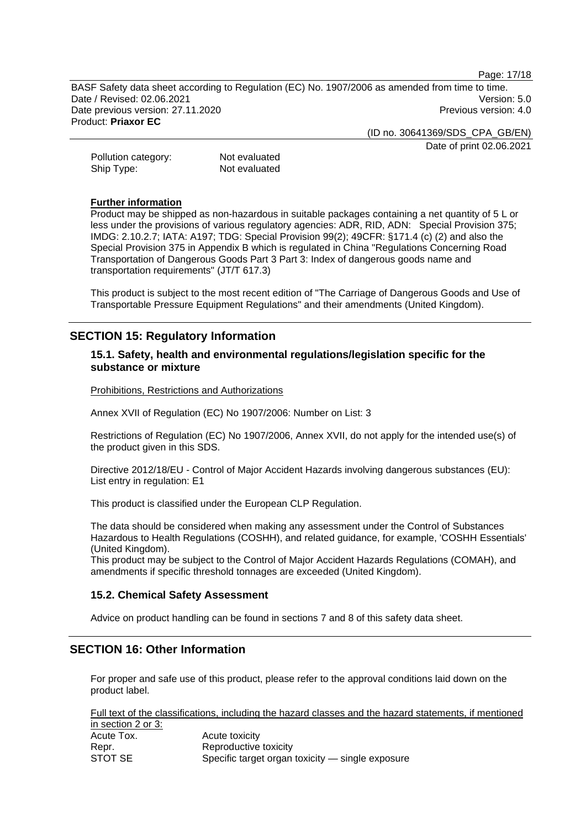Page: 17/18

BASF Safety data sheet according to Regulation (EC) No. 1907/2006 as amended from time to time. Date / Revised: 02.06.2021 Version: 5.0 Date previous version: 27.11.2020 **Previous version: 4.0** Previous version: 4.0 Product: **Priaxor EC** 

(ID no. 30641369/SDS\_CPA\_GB/EN)

Date of print 02.06.2021

Pollution category: Not evaluated Ship Type: Not evaluated

#### **Further information**

Product may be shipped as non-hazardous in suitable packages containing a net quantity of 5 L or less under the provisions of various regulatory agencies: ADR, RID, ADN: Special Provision 375; IMDG: 2.10.2.7; IATA: A197; TDG: Special Provision 99(2); 49CFR: §171.4 (c) (2) and also the Special Provision 375 in Appendix B which is regulated in China "Regulations Concerning Road Transportation of Dangerous Goods Part 3 Part 3: Index of dangerous goods name and transportation requirements" (JT/T 617.3)

This product is subject to the most recent edition of "The Carriage of Dangerous Goods and Use of Transportable Pressure Equipment Regulations" and their amendments (United Kingdom).

### **SECTION 15: Regulatory Information**

### **15.1. Safety, health and environmental regulations/legislation specific for the substance or mixture**

Prohibitions, Restrictions and Authorizations

Annex XVII of Regulation (EC) No 1907/2006: Number on List: 3

Restrictions of Regulation (EC) No 1907/2006, Annex XVII, do not apply for the intended use(s) of the product given in this SDS.

Directive 2012/18/EU - Control of Major Accident Hazards involving dangerous substances (EU): List entry in regulation: E1

This product is classified under the European CLP Regulation.

The data should be considered when making any assessment under the Control of Substances Hazardous to Health Regulations (COSHH), and related guidance, for example, 'COSHH Essentials' (United Kingdom).

This product may be subject to the Control of Major Accident Hazards Regulations (COMAH), and amendments if specific threshold tonnages are exceeded (United Kingdom).

### **15.2. Chemical Safety Assessment**

Advice on product handling can be found in sections 7 and 8 of this safety data sheet.

### **SECTION 16: Other Information**

For proper and safe use of this product, please refer to the approval conditions laid down on the product label.

Full text of the classifications, including the hazard classes and the hazard statements, if mentioned in section 2 or 3: Acute Tox. Acute toxicity

|         | <b><i>HOULD LOAIGHT</i></b>                      |
|---------|--------------------------------------------------|
| Repr.   | Reproductive toxicity                            |
| STOT SE | Specific target organ toxicity — single exposure |